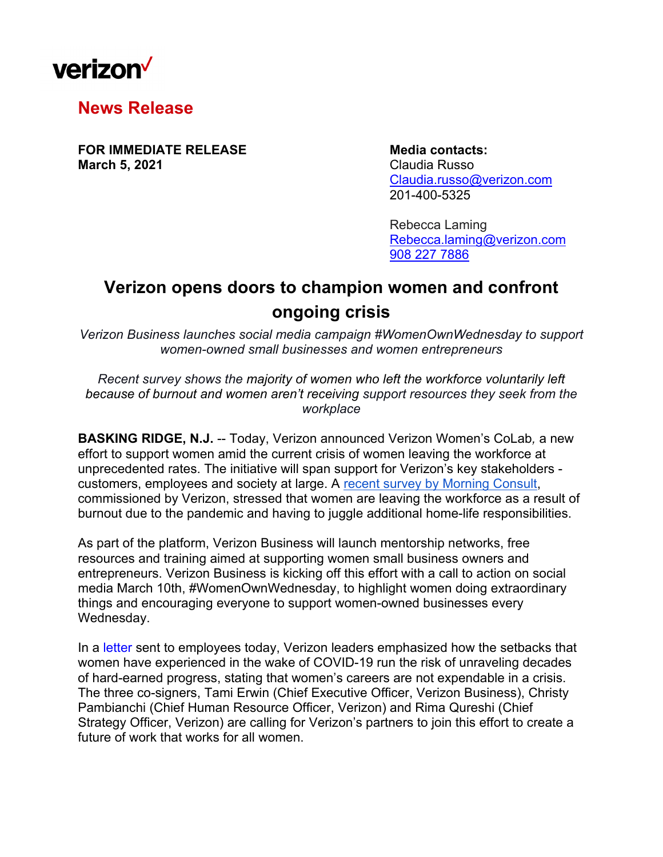

**News Release** 

**FOR IMMEDIATE RELEASE Media contacts: March 5, 2021 Claudia Russo** 

 Claudia.russo@verizon.com 201-400-5325

Rebecca Laming Rebecca.laming@verizon.com 908 227 7886

## **Verizon opens doors to champion women and confront ongoing crisis**

*Verizon Business launches social media campaign #WomenOwnWednesday to support women-owned small businesses and women entrepreneurs* 

*Recent survey shows the majority of women who left the workforce voluntarily left because of burnout and women aren't receiving support resources they seek from the workplace* 

**BASKING RIDGE, N.J.** -- Today, Verizon announced Verizon Women's CoLab*,* a new effort to support women amid the current crisis of women leaving the workforce at unprecedented rates. The initiative will span support for Verizon's key stakeholders customers, employees and society at large. A recent survey by Morning Consult, commissioned by Verizon, stressed that women are leaving the workforce as a result of burnout due to the pandemic and having to juggle additional home-life responsibilities.

As part of the platform, Verizon Business will launch mentorship networks, free resources and training aimed at supporting women small business owners and entrepreneurs. Verizon Business is kicking off this effort with a call to action on social media March 10th, #WomenOwnWednesday, to highlight women doing extraordinary things and encouraging everyone to support women-owned businesses every Wednesday.

In a letter sent to employees today, Verizon leaders emphasized how the setbacks that women have experienced in the wake of COVID-19 run the risk of unraveling decades of hard-earned progress, stating that women's careers are not expendable in a crisis. The three co-signers, Tami Erwin (Chief Executive Officer, Verizon Business), Christy Pambianchi (Chief Human Resource Officer, Verizon) and Rima Qureshi (Chief Strategy Officer, Verizon) are calling for Verizon's partners to join this effort to create a future of work that works for all women.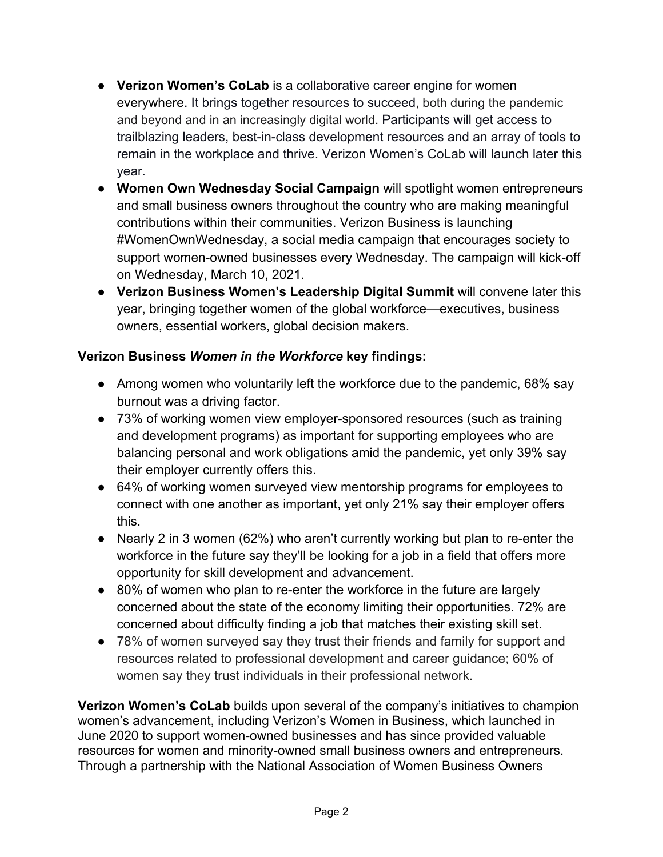- **Verizon Women's CoLab** is a collaborative career engine for women everywhere. It brings together resources to succeed, both during the pandemic and beyond and in an increasingly digital world. Participants will get access to trailblazing leaders, best-in-class development resources and an array of tools to remain in the workplace and thrive. Verizon Women's CoLab will launch later this year.
- **Women Own Wednesday Social Campaign** will spotlight women entrepreneurs and small business owners throughout the country who are making meaningful contributions within their communities. Verizon Business is launching #WomenOwnWednesday, a social media campaign that encourages society to support women-owned businesses every Wednesday. The campaign will kick-off on Wednesday, March 10, 2021.
- **Verizon Business Women's Leadership Digital Summit** will convene later this year, bringing together women of the global workforce—executives, business owners, essential workers, global decision makers.

## **Verizon Business** *Women in the Workforce* **key findings:**

- Among women who voluntarily left the workforce due to the pandemic, 68% say burnout was a driving factor.
- 73% of working women view employer-sponsored resources (such as training and development programs) as important for supporting employees who are balancing personal and work obligations amid the pandemic, yet only 39% say their employer currently offers this.
- 64% of working women surveyed view mentorship programs for employees to connect with one another as important, yet only 21% say their employer offers this.
- Nearly 2 in 3 women (62%) who aren't currently working but plan to re-enter the workforce in the future say they'll be looking for a job in a field that offers more opportunity for skill development and advancement.
- 80% of women who plan to re-enter the workforce in the future are largely concerned about the state of the economy limiting their opportunities. 72% are concerned about difficulty finding a job that matches their existing skill set.
- 78% of women surveyed say they trust their friends and family for support and resources related to professional development and career guidance; 60% of women say they trust individuals in their professional network.

**Verizon Women's CoLab** builds upon several of the company's initiatives to champion women's advancement, including Verizon's Women in Business, which launched in June 2020 to support women-owned businesses and has since provided valuable resources for women and minority-owned small business owners and entrepreneurs. Through a partnership with the National Association of Women Business Owners